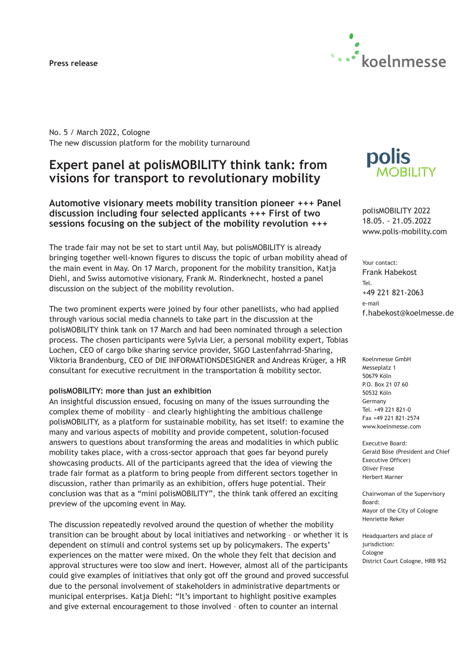### **Press release**



No. 5 / March 2022, Cologne The new discussion platform for the mobility turnaround

# **Expert panel at polisMOBILITY think tank: from visions for transport to revolutionary mobility**

**Automotive visionary meets mobility transition pioneer +++ Panel discussion including four selected applicants +++ First of two sessions focusing on the subject of the mobility revolution +++**

The trade fair may not be set to start until May, but polisMOBILITY is already bringing together well-known figures to discuss the topic of urban mobility ahead of the main event in May. On 17 March, proponent for the mobility transition, Katja Diehl, and Swiss automotive visionary, Frank M. Rinderknecht, hosted a panel discussion on the subject of the mobility revolution.

The two prominent experts were joined by four other panellists, who had applied through various social media channels to take part in the discussion at the polisMOBILITY think tank on 17 March and had been nominated through a selection process. The chosen participants were Sylvia Lier, a personal mobility expert, Tobias Lochen, CEO of cargo bike sharing service provider, SIGO Lastenfahrrad-Sharing, Viktoria Brandenburg, CEO of DIE INFORMATIONSDESIGNER and Andreas Krüger, a HR consultant for executive recruitment in the transportation & mobility sector.

#### **polisMOBILITY: more than just an exhibition**

An insightful discussion ensued, focusing on many of the issues surrounding the complex theme of mobility – and clearly highlighting the ambitious challenge polisMOBILITY, as a platform for sustainable mobility, has set itself: to examine the many and various aspects of mobility and provide competent, solution-focused answers to questions about transforming the areas and modalities in which public mobility takes place, with a cross-sector approach that goes far beyond purely showcasing products. All of the participants agreed that the idea of viewing the trade fair format as a platform to bring people from different sectors together in discussion, rather than primarily as an exhibition, offers huge potential. Their conclusion was that as a "mini polisMOBILITY", the think tank offered an exciting preview of the upcoming event in May.

The discussion repeatedly revolved around the question of whether the mobility transition can be brought about by local initiatives and networking – or whether it is dependent on stimuli and control systems set up by policymakers. The experts' experiences on the matter were mixed. On the whole they felt that decision and approval structures were too slow and inert. However, almost all of the participants could give examples of initiatives that only got off the ground and proved successful due to the personal involvement of stakeholders in administrative departments or municipal enterprises. Katja Diehl: "It's important to highlight positive examples and give external encouragement to those involved – often to counter an internal



polisMOBILITY 2022 18.05. - 21.05.2022 www.polis-mobility.com

Your contact: Frank Habekost Tel. +49 221 821-2063 e-mail f.habekost@koelmesse.de

Koelnmesse GmbH Messeplatz 1 50679 Köln P.O. Box 21 07 60 50532 Köln Germany Tel. +49 221 821-0 Fax +49 221 821-2574 www.koelnmesse.com

Executive Board: Gerald Böse (President and Chief Executive Officer) Oliver Frese Herbert Marner

Chairwoman of the Supervisory Board: Mayor of the City of Cologne Henriette Reker

Headquarters and place of jurisdiction: Cologne District Court Cologne, HRB 952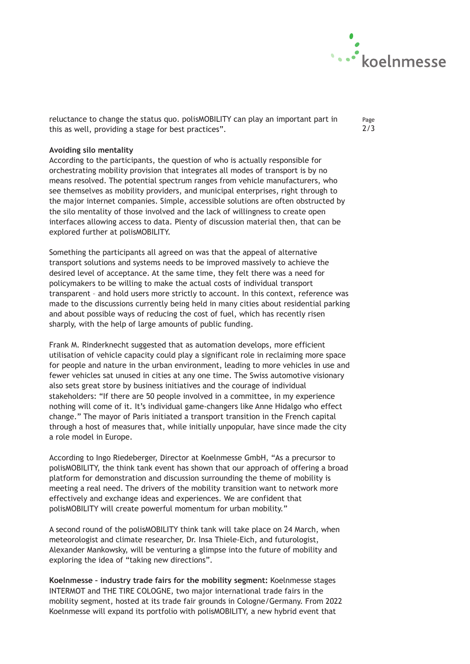

Page 2/3

reluctance to change the status quo. polisMOBILITY can play an important part in this as well, providing a stage for best practices".

# **Avoiding silo mentality**

According to the participants, the question of who is actually responsible for orchestrating mobility provision that integrates all modes of transport is by no means resolved. The potential spectrum ranges from vehicle manufacturers, who see themselves as mobility providers, and municipal enterprises, right through to the major internet companies. Simple, accessible solutions are often obstructed by the silo mentality of those involved and the lack of willingness to create open interfaces allowing access to data. Plenty of discussion material then, that can be explored further at polisMOBILITY.

Something the participants all agreed on was that the appeal of alternative transport solutions and systems needs to be improved massively to achieve the desired level of acceptance. At the same time, they felt there was a need for policymakers to be willing to make the actual costs of individual transport transparent – and hold users more strictly to account. In this context, reference was made to the discussions currently being held in many cities about residential parking and about possible ways of reducing the cost of fuel, which has recently risen sharply, with the help of large amounts of public funding.

Frank M. Rinderknecht suggested that as automation develops, more efficient utilisation of vehicle capacity could play a significant role in reclaiming more space for people and nature in the urban environment, leading to more vehicles in use and fewer vehicles sat unused in cities at any one time. The Swiss automotive visionary also sets great store by business initiatives and the courage of individual stakeholders: "If there are 50 people involved in a committee, in my experience nothing will come of it. It's individual game-changers like Anne Hidalgo who effect change." The mayor of Paris initiated a transport transition in the French capital through a host of measures that, while initially unpopular, have since made the city a role model in Europe.

According to Ingo Riedeberger, Director at Koelnmesse GmbH, "As a precursor to polisMOBILITY, the think tank event has shown that our approach of offering a broad platform for demonstration and discussion surrounding the theme of mobility is meeting a real need. The drivers of the mobility transition want to network more effectively and exchange ideas and experiences. We are confident that polisMOBILITY will create powerful momentum for urban mobility."

A second round of the polisMOBILITY think tank will take place on 24 March, when meteorologist and climate researcher, Dr. Insa Thiele-Eich, and futurologist, Alexander Mankowsky, will be venturing a glimpse into the future of mobility and exploring the idea of "taking new directions".

**Koelnmesse – industry trade fairs for the mobility segment:** Koelnmesse stages INTERMOT and THE TIRE COLOGNE, two major international trade fairs in the mobility segment, hosted at its trade fair grounds in Cologne/Germany. From 2022 Koelnmesse will expand its portfolio with polisMOBILITY, a new hybrid event that